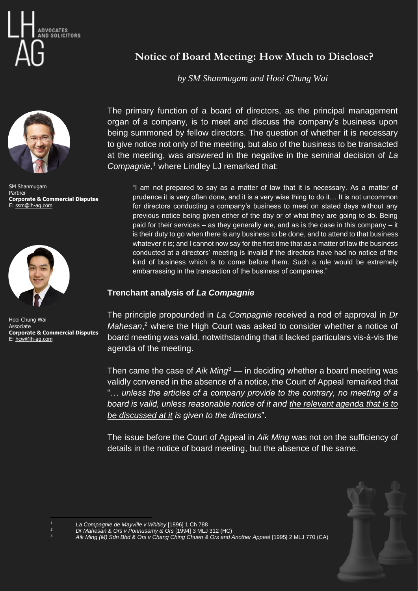



SM Shanmugam Partner **Corporate & Commercial Disputes** E: [ssm@lh-ag.com](mailto:ssm@lh-ag.com)



Hooi Chung Wai Associate **Corporate & Commercial Disputes** E: [hcw@lh-ag.com](mailto:hcw@lh-ag.com)

## **Notice of Board Meeting: How Much to Disclose?**

*by SM Shanmugam and Hooi Chung Wai*

The primary function of a board of directors, as the principal management organ of a company, is to meet and discuss the company's business upon being summoned by fellow directors. The question of whether it is necessary to give notice not only of the meeting, but also of the business to be transacted at the meeting, was answered in the negative in the seminal decision of *La Compagnie*, <sup>1</sup> where Lindley LJ remarked that:

"I am not prepared to say as a matter of law that it is necessary. As a matter of prudence it is very often done, and it is a very wise thing to do it… It is not uncommon for directors conducting a company's business to meet on stated days without any previous notice being given either of the day or of what they are going to do. Being paid for their services – as they generally are, and as is the case in this company – it is their duty to go when there is any business to be done, and to attend to that business whatever it is; and I cannot now say for the first time that as a matter of law the business conducted at a directors' meeting is invalid if the directors have had no notice of the kind of business which is to come before them. Such a rule would be extremely embarrassing in the transaction of the business of companies."

## **Trenchant analysis of** *La Compagnie*

The principle propounded in *La Compagnie* received a nod of approval in *Dr Mahesan*, <sup>2</sup> where the High Court was asked to consider whether a notice of board meeting was valid, notwithstanding that it lacked particulars vis-à-vis the agenda of the meeting.

Then came the case of *Aik Ming*<sup>3</sup> — in deciding whether a board meeting was validly convened in the absence of a notice, the Court of Appeal remarked that "*… unless the articles of a company provide to the contrary, no meeting of a board is valid, unless reasonable notice of it and the relevant agenda that is to be discussed at it is given to the directors*".

The issue before the Court of Appeal in *Aik Ming* was not on the sufficiency of details in the notice of board meeting, but the absence of the same.



<sup>1</sup> *La Compagnie de Mayville v Whitley* [1896] 1 Ch 788

<sup>2</sup> *Dr Mahesan & Ors v Ponnusamy & Ors* [1994] 3 MLJ 312 (HC)

<sup>&</sup>lt;sup>3</sup> Aik Ming (M) Sdn Bhd & Ors v Chang Ching Chuen & Ors and Another Appeal [1995] 2 MLJ 770 (CA)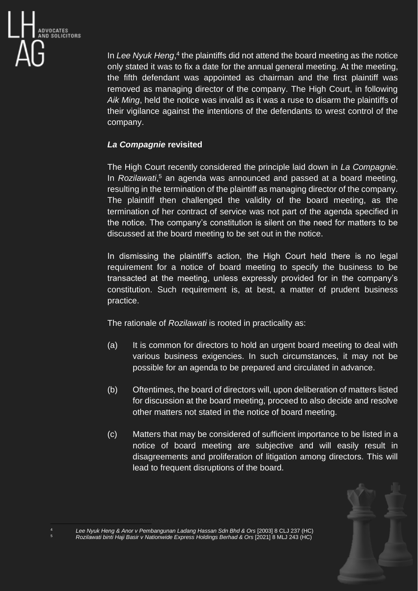

In Lee Nyuk Heng,<sup>4</sup> the plaintiffs did not attend the board meeting as the notice only stated it was to fix a date for the annual general meeting. At the meeting, the fifth defendant was appointed as chairman and the first plaintiff was removed as managing director of the company. The High Court, in following *Aik Ming*, held the notice was invalid as it was a ruse to disarm the plaintiffs of their vigilance against the intentions of the defendants to wrest control of the company.

## *La Compagnie* **revisited**

The High Court recently considered the principle laid down in *La Compagnie*. In *Rozilawati*, <sup>5</sup> an agenda was announced and passed at a board meeting, resulting in the termination of the plaintiff as managing director of the company. The plaintiff then challenged the validity of the board meeting, as the termination of her contract of service was not part of the agenda specified in the notice. The company's constitution is silent on the need for matters to be discussed at the board meeting to be set out in the notice.

In dismissing the plaintiff's action, the High Court held there is no legal requirement for a notice of board meeting to specify the business to be transacted at the meeting, unless expressly provided for in the company's constitution. Such requirement is, at best, a matter of prudent business practice.

The rationale of *Rozilawati* is rooted in practicality as:

- (a) It is common for directors to hold an urgent board meeting to deal with various business exigencies. In such circumstances, it may not be possible for an agenda to be prepared and circulated in advance.
- (b) Oftentimes, the board of directors will, upon deliberation of matters listed for discussion at the board meeting, proceed to also decide and resolve other matters not stated in the notice of board meeting.
- (c) Matters that may be considered of sufficient importance to be listed in a notice of board meeting are subjective and will easily result in disagreements and proliferation of litigation among directors. This will lead to frequent disruptions of the board.



<sup>4</sup> *Lee Nyuk Heng & Anor v Pembangunan Ladang Hassan Sdn Bhd & Ors* [2003] 8 CLJ 237 (HC) <sup>5</sup> *Rozilawati binti Haji Basir v Nationwide Express Holdings Berhad & Ors* [2021] 8 MLJ 243 (HC)